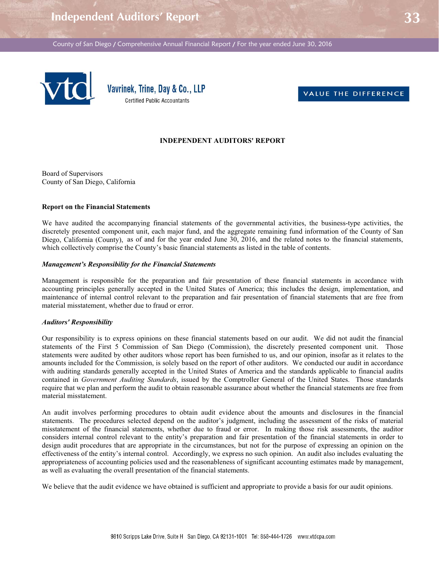# **Independent Auditors' Report 33**

County of San Diego / Comprehensive Annual Financial Report / For the year ended June 30, 2016



Vavrinek, Trine, Day & Co., LLP **Certified Public Accountants** 



## **INDEPENDENT AUDITORS' REPORT**

Board of Supervisors County of San Diego, California

#### **Report on the Financial Statements**

We have audited the accompanying financial statements of the governmental activities, the business-type activities, the discretely presented component unit, each major fund, and the aggregate remaining fund information of the County of San Diego, California (County), as of and for the year ended June 30, 2016, and the related notes to the financial statements, which collectively comprise the County's basic financial statements as listed in the table of contents.

### *Management's Responsibility for the Financial Statements*

Management is responsible for the preparation and fair presentation of these financial statements in accordance with accounting principles generally accepted in the United States of America; this includes the design, implementation, and maintenance of internal control relevant to the preparation and fair presentation of financial statements that are free from material misstatement, whether due to fraud or error.

## *Auditors' Responsibility*

Our responsibility is to express opinions on these financial statements based on our audit. We did not audit the financial statements of the First 5 Commission of San Diego (Commission), the discretely presented component unit. Those statements were audited by other auditors whose report has been furnished to us, and our opinion, insofar as it relates to the amounts included for the Commission, is solely based on the report of other auditors. We conducted our audit in accordance with auditing standards generally accepted in the United States of America and the standards applicable to financial audits contained in *Government Auditing Standards*, issued by the Comptroller General of the United States. Those standards require that we plan and perform the audit to obtain reasonable assurance about whether the financial statements are free from material misstatement.

An audit involves performing procedures to obtain audit evidence about the amounts and disclosures in the financial statements. The procedures selected depend on the auditor's judgment, including the assessment of the risks of material misstatement of the financial statements, whether due to fraud or error. In making those risk assessments, the auditor considers internal control relevant to the entity's preparation and fair presentation of the financial statements in order to design audit procedures that are appropriate in the circumstances, but not for the purpose of expressing an opinion on the effectiveness of the entity's internal control. Accordingly, we express no such opinion. An audit also includes evaluating the appropriateness of accounting policies used and the reasonableness of significant accounting estimates made by management, as well as evaluating the overall presentation of the financial statements.

We believe that the audit evidence we have obtained is sufficient and appropriate to provide a basis for our audit opinions.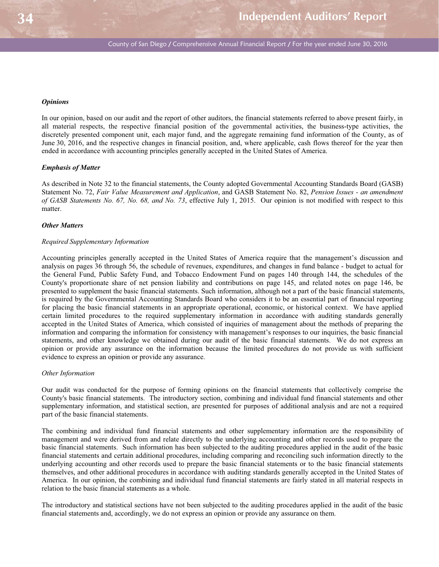## *Opinions*

In our opinion, based on our audit and the report of other auditors, the financial statements referred to above present fairly, in all material respects, the respective financial position of the governmental activities, the business-type activities, the discretely presented component unit, each major fund, and the aggregate remaining fund information of the County, as of June 30, 2016, and the respective changes in financial position, and, where applicable, cash flows thereof for the year then ended in accordance with accounting principles generally accepted in the United States of America.

#### *Emphasis of Matter*

As described in Note 32 to the financial statements, the County adopted Governmental Accounting Standards Board (GASB) Statement No. 72, *Fair Value Measurement and Application*, and GASB Statement No. 82, *Pension Issues - an amendment of GASB Statements No. 67, No. 68, and No. 73*, effective July 1, 2015. Our opinion is not modified with respect to this matter.

## *Other Matters*

#### *Required Supplementary Information*

Accounting principles generally accepted in the United States of America require that the management's discussion and analysis on pages 36 through 56, the schedule of revenues, expenditures, and changes in fund balance - budget to actual for the General Fund, Public Safety Fund, and Tobacco Endowment Fund on pages 140 through 144, the schedules of the County's proportionate share of net pension liability and contributions on page 145, and related notes on page 146, be presented to supplement the basic financial statements. Such information, although not a part of the basic financial statements, is required by the Governmental Accounting Standards Board who considers it to be an essential part of financial reporting for placing the basic financial statements in an appropriate operational, economic, or historical context. We have applied certain limited procedures to the required supplementary information in accordance with auditing standards generally accepted in the United States of America, which consisted of inquiries of management about the methods of preparing the information and comparing the information for consistency with management's responses to our inquiries, the basic financial statements, and other knowledge we obtained during our audit of the basic financial statements. We do not express an opinion or provide any assurance on the information because the limited procedures do not provide us with sufficient evidence to express an opinion or provide any assurance.

## *Other Information*

Our audit was conducted for the purpose of forming opinions on the financial statements that collectively comprise the County's basic financial statements. The introductory section, combining and individual fund financial statements and other supplementary information, and statistical section, are presented for purposes of additional analysis and are not a required part of the basic financial statements.

The combining and individual fund financial statements and other supplementary information are the responsibility of management and were derived from and relate directly to the underlying accounting and other records used to prepare the basic financial statements. Such information has been subjected to the auditing procedures applied in the audit of the basic financial statements and certain additional procedures, including comparing and reconciling such information directly to the underlying accounting and other records used to prepare the basic financial statements or to the basic financial statements themselves, and other additional procedures in accordance with auditing standards generally accepted in the United States of America. In our opinion, the combining and individual fund financial statements are fairly stated in all material respects in relation to the basic financial statements as a whole.

The introductory and statistical sections have not been subjected to the auditing procedures applied in the audit of the basic financial statements and, accordingly, we do not express an opinion or provide any assurance on them.